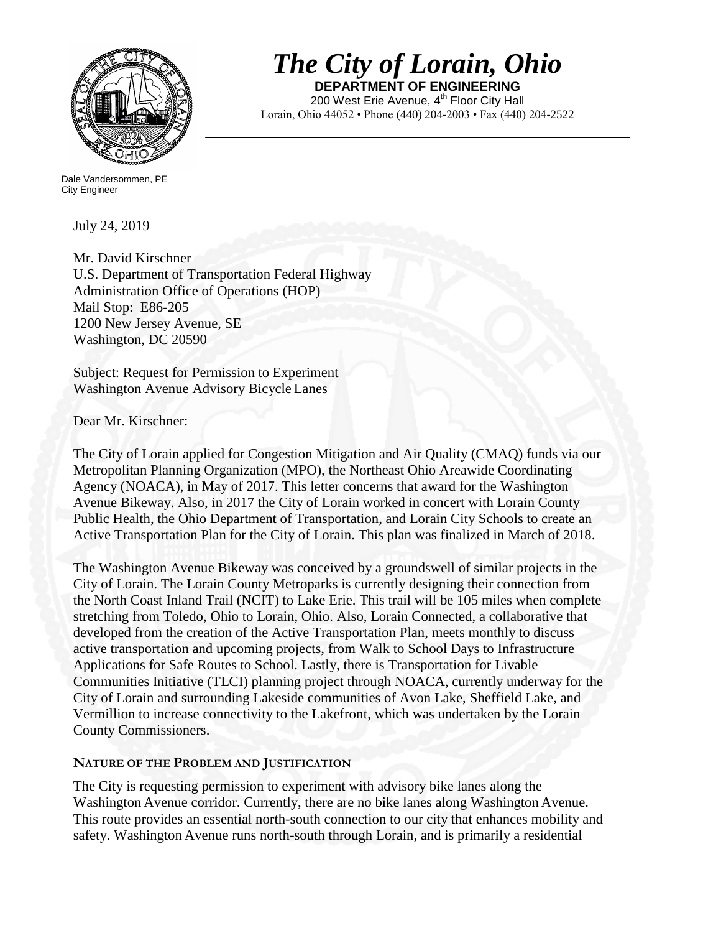

# *The City of Lorain, Ohio*

**DEPARTMENT OF ENGINEERING** 200 West Erie Avenue, 4<sup>th</sup> Floor City Hall Lorain, Ohio 44052 • Phone (440) 204-2003 • Fax (440) 204-2522

 Dale Vandersommen, PE City Engineer

July 24, 2019

Mr. David Kirschner U.S. Department of Transportation Federal Highway Administration Office of Operations (HOP) Mail Stop: E86-205 1200 New Jersey Avenue, SE Washington, DC 20590

Subject: Request for Permission to Experiment Washington Avenue Advisory Bicycle Lanes

Dear Mr. Kirschner:

The City of Lorain applied for Congestion Mitigation and Air Quality (CMAQ) funds via our Metropolitan Planning Organization (MPO), the Northeast Ohio Areawide Coordinating Agency (NOACA), in May of 2017. This letter concerns that award for the Washington Avenue Bikeway. Also, in 2017 the City of Lorain worked in concert with Lorain County Public Health, the Ohio Department of Transportation, and Lorain City Schools to create an Active Transportation Plan for the City of Lorain. This plan was finalized in March of 2018.

The Washington Avenue Bikeway was conceived by a groundswell of similar projects in the City of Lorain. The Lorain County Metroparks is currently designing their connection from the North Coast Inland Trail (NCIT) to Lake Erie. This trail will be 105 miles when complete stretching from Toledo, Ohio to Lorain, Ohio. Also, Lorain Connected, a collaborative that developed from the creation of the Active Transportation Plan, meets monthly to discuss active transportation and upcoming projects, from Walk to School Days to Infrastructure Applications for Safe Routes to School. Lastly, there is Transportation for Livable Communities Initiative (TLCI) planning project through NOACA, currently underway for the City of Lorain and surrounding Lakeside communities of Avon Lake, Sheffield Lake, and Vermillion to increase connectivity to the Lakefront, which was undertaken by the Lorain County Commissioners.

## **NATURE OF THE PROBLEM AND JUSTIFICATION**

The City is requesting permission to experiment with advisory bike lanes along the Washington Avenue corridor. Currently, there are no bike lanes along Washington Avenue. This route provides an essential north-south connection to our city that enhances mobility and safety. Washington Avenue runs north-south through Lorain, and is primarily a residential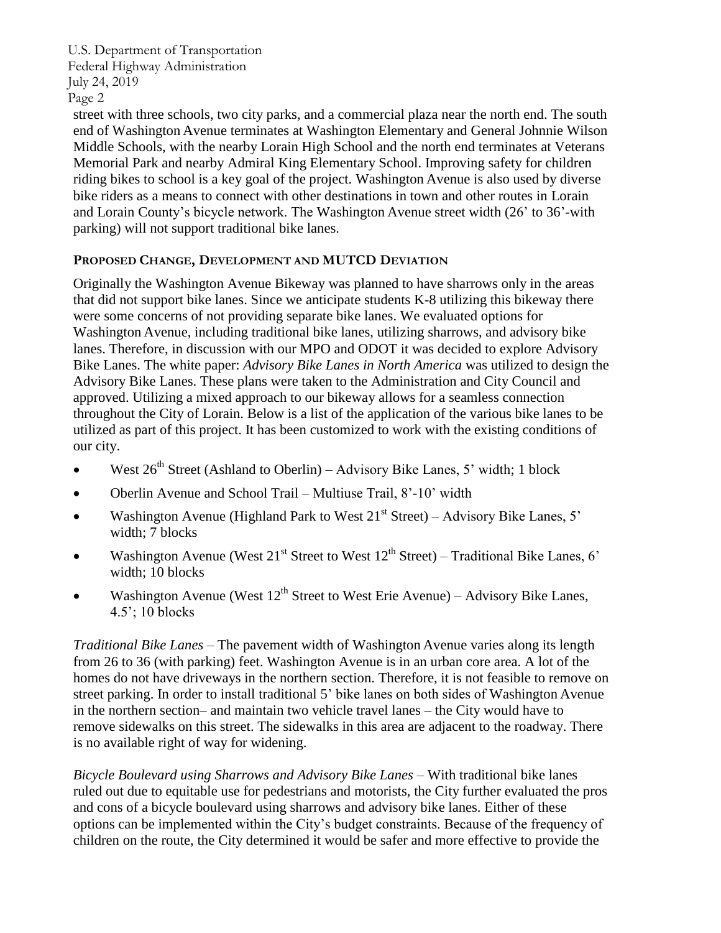street with three schools, two city parks, and a commercial plaza near the north end. The south end of Washington Avenue terminates at Washington Elementary and General Johnnie Wilson Middle Schools, with the nearby Lorain High School and the north end terminates at Veterans Memorial Park and nearby Admiral King Elementary School. Improving safety for children riding bikes to school is a key goal of the project. Washington Avenue is also used by diverse bike riders as a means to connect with other destinations in town and other routes in Lorain and Lorain County's bicycle network. The Washington Avenue street width (26' to 36'-with parking) will not support traditional bike lanes.

## **PROPOSED CHANGE, DEVELOPMENT AND MUTCD DEVIATION**

Originally the Washington Avenue Bikeway was planned to have sharrows only in the areas that did not support bike lanes. Since we anticipate students K-8 utilizing this bikeway there were some concerns of not providing separate bike lanes. We evaluated options for Washington Avenue, including traditional bike lanes, utilizing sharrows, and advisory bike lanes. Therefore, in discussion with our MPO and ODOT it was decided to explore Advisory Bike Lanes. The white paper: *Advisory Bike Lanes in North America* was utilized to design the Advisory Bike Lanes. These plans were taken to the Administration and City Council and approved. Utilizing a mixed approach to our bikeway allows for a seamless connection throughout the City of Lorain. Below is a list of the application of the various bike lanes to be utilized as part of this project. It has been customized to work with the existing conditions of our city.

- West  $26<sup>th</sup>$  Street (Ashland to Oberlin) Advisory Bike Lanes, 5' width; 1 block
- Oberlin Avenue and School Trail Multiuse Trail, 8'-10' width
- Washington Avenue (Highland Park to West  $21<sup>st</sup>$  Street) Advisory Bike Lanes, 5' width: 7 blocks
- Washington Avenue (West  $21^{st}$  Street to West  $12^{th}$  Street) Traditional Bike Lanes, 6' width; 10 blocks
- Washington Avenue (West  $12^{th}$  Street to West Erie Avenue) Advisory Bike Lanes, 4.5'; 10 blocks

*Traditional Bike Lanes* – The pavement width of Washington Avenue varies along its length from 26 to 36 (with parking) feet. Washington Avenue is in an urban core area. A lot of the homes do not have driveways in the northern section. Therefore, it is not feasible to remove on street parking. In order to install traditional 5' bike lanes on both sides of Washington Avenue in the northern section– and maintain two vehicle travel lanes – the City would have to remove sidewalks on this street. The sidewalks in this area are adjacent to the roadway. There is no available right of way for widening.

*Bicycle Boulevard using Sharrows and Advisory Bike Lanes* – With traditional bike lanes ruled out due to equitable use for pedestrians and motorists, the City further evaluated the pros and cons of a bicycle boulevard using sharrows and advisory bike lanes. Either of these options can be implemented within the City's budget constraints. Because of the frequency of children on the route, the City determined it would be safer and more effective to provide the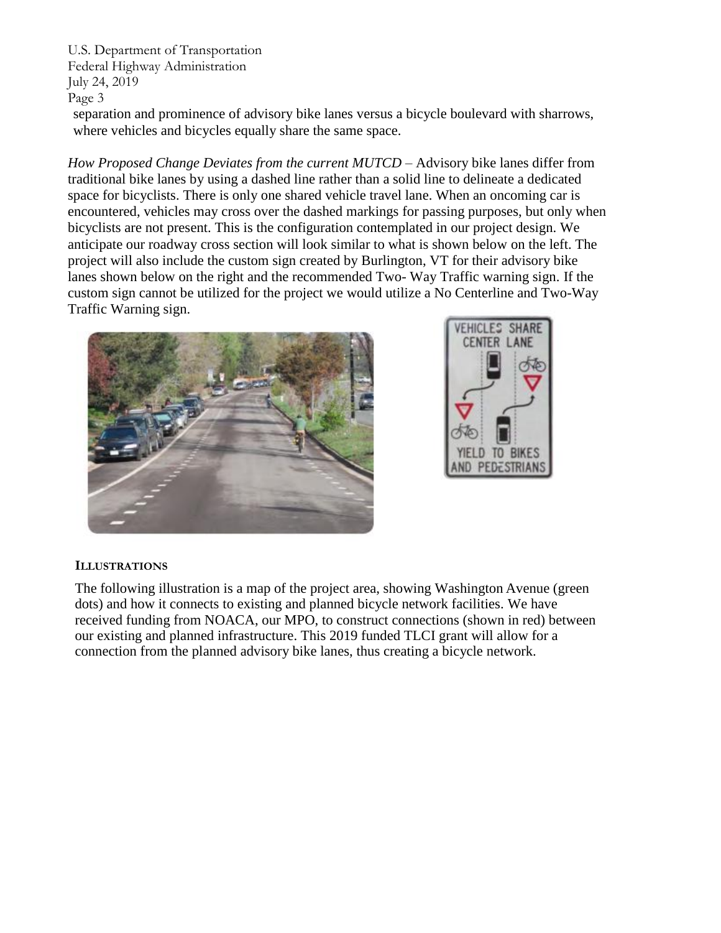separation and prominence of advisory bike lanes versus a bicycle boulevard with sharrows, where vehicles and bicycles equally share the same space.

*How Proposed Change Deviates from the current MUTCD – Advisory bike lanes differ from* traditional bike lanes by using a dashed line rather than a solid line to delineate a dedicated space for bicyclists. There is only one shared vehicle travel lane. When an oncoming car is encountered, vehicles may cross over the dashed markings for passing purposes, but only when bicyclists are not present. This is the configuration contemplated in our project design. We anticipate our roadway cross section will look similar to what is shown below on the left. The project will also include the custom sign created by Burlington, VT for their advisory bike lanes shown below on the right and the recommended Two- Way Traffic warning sign. If the custom sign cannot be utilized for the project we would utilize a No Centerline and Two-Way Traffic Warning sign.





## **ILLUSTRATIONS**

The following illustration is a map of the project area, showing Washington Avenue (green dots) and how it connects to existing and planned bicycle network facilities. We have received funding from NOACA, our MPO, to construct connections (shown in red) between our existing and planned infrastructure. This 2019 funded TLCI grant will allow for a connection from the planned advisory bike lanes, thus creating a bicycle network.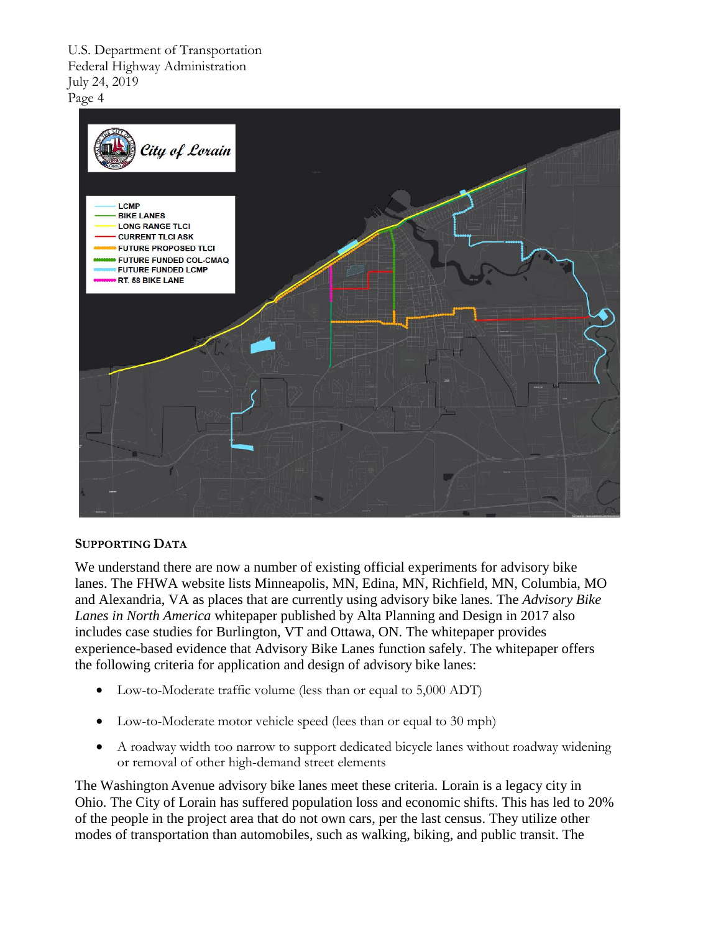

## **SUPPORTING DATA**

We understand there are now a number of existing official experiments for advisory bike lanes. The FHWA website lists Minneapolis, MN, Edina, MN, Richfield, MN, Columbia, MO and Alexandria, VA as places that are currently using advisory bike lanes. The *Advisory Bike Lanes in North America* whitepaper published by Alta Planning and Design in 2017 also includes case studies for Burlington, VT and Ottawa, ON. The whitepaper provides experience-based evidence that Advisory Bike Lanes function safely. The whitepaper offers the following criteria for application and design of advisory bike lanes:

- Low-to-Moderate traffic volume (less than or equal to 5,000 ADT)
- Low-to-Moderate motor vehicle speed (lees than or equal to 30 mph)
- A roadway width too narrow to support dedicated bicycle lanes without roadway widening or removal of other high-demand street elements

The Washington Avenue advisory bike lanes meet these criteria. Lorain is a legacy city in Ohio. The City of Lorain has suffered population loss and economic shifts. This has led to 20% of the people in the project area that do not own cars, per the last census. They utilize other modes of transportation than automobiles, such as walking, biking, and public transit. The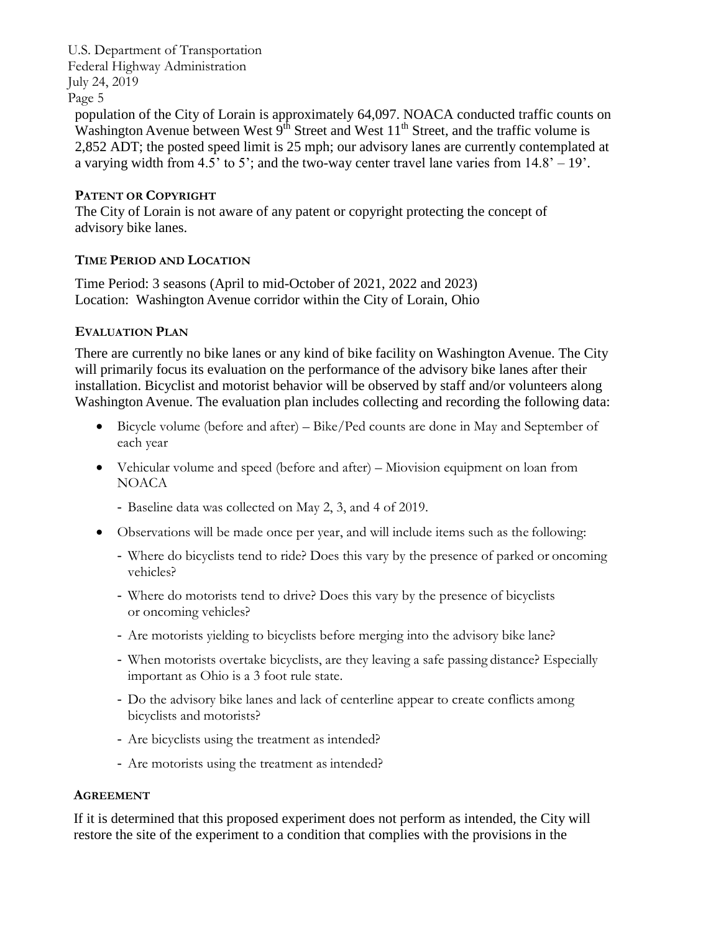population of the City of Lorain is approximately 64,097. NOACA conducted traffic counts on Washington Avenue between West  $9<sup>th</sup>$  Street and West  $11<sup>th</sup>$  Street, and the traffic volume is 2,852 ADT; the posted speed limit is 25 mph; our advisory lanes are currently contemplated at a varying width from 4.5' to 5'; and the two-way center travel lane varies from  $14.8' - 19'$ .

## **PATENT OR COPYRIGHT**

The City of Lorain is not aware of any patent or copyright protecting the concept of advisory bike lanes.

## **TIME PERIOD AND LOCATION**

Time Period: 3 seasons (April to mid-October of 2021, 2022 and 2023) Location: Washington Avenue corridor within the City of Lorain, Ohio

## **EVALUATION PLAN**

There are currently no bike lanes or any kind of bike facility on Washington Avenue. The City will primarily focus its evaluation on the performance of the advisory bike lanes after their installation. Bicyclist and motorist behavior will be observed by staff and/or volunteers along Washington Avenue. The evaluation plan includes collecting and recording the following data:

- Bicycle volume (before and after) Bike/Ped counts are done in May and September of each year
- Vehicular volume and speed (before and after) Miovision equipment on loan from NOACA
	- Baseline data was collected on May 2, 3, and 4 of 2019.
- Observations will be made once per year, and will include items such as the following:
	- Where do bicyclists tend to ride? Does this vary by the presence of parked or oncoming vehicles?
	- Where do motorists tend to drive? Does this vary by the presence of bicyclists or oncoming vehicles?
	- Are motorists yielding to bicyclists before merging into the advisory bike lane?
	- When motorists overtake bicyclists, are they leaving a safe passing distance? Especially important as Ohio is a 3 foot rule state.
	- Do the advisory bike lanes and lack of centerline appear to create conflicts among bicyclists and motorists?
	- Are bicyclists using the treatment as intended?
	- Are motorists using the treatment as intended?

## **AGREEMENT**

If it is determined that this proposed experiment does not perform as intended, the City will restore the site of the experiment to a condition that complies with the provisions in the